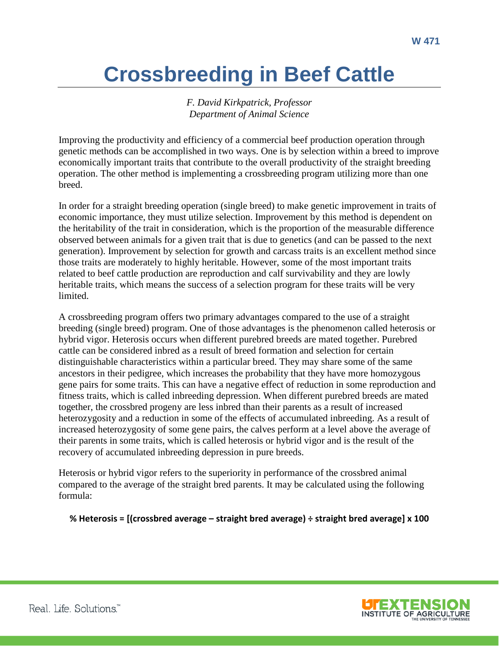# **Crossbreeding in Beef Cattle**

*F. David Kirkpatrick, Professor Department of Animal Science*

Improving the productivity and efficiency of a commercial beef production operation through genetic methods can be accomplished in two ways. One is by selection within a breed to improve economically important traits that contribute to the overall productivity of the straight breeding operation. The other method is implementing a crossbreeding program utilizing more than one breed.

In order for a straight breeding operation (single breed) to make genetic improvement in traits of economic importance, they must utilize selection. Improvement by this method is dependent on the heritability of the trait in consideration, which is the proportion of the measurable difference observed between animals for a given trait that is due to genetics (and can be passed to the next generation). Improvement by selection for growth and carcass traits is an excellent method since those traits are moderately to highly heritable. However, some of the most important traits related to beef cattle production are reproduction and calf survivability and they are lowly heritable traits, which means the success of a selection program for these traits will be very limited.

A crossbreeding program offers two primary advantages compared to the use of a straight breeding (single breed) program. One of those advantages is the phenomenon called heterosis or hybrid vigor. Heterosis occurs when different purebred breeds are mated together. Purebred cattle can be considered inbred as a result of breed formation and selection for certain distinguishable characteristics within a particular breed. They may share some of the same ancestors in their pedigree, which increases the probability that they have more homozygous gene pairs for some traits. This can have a negative effect of reduction in some reproduction and fitness traits, which is called inbreeding depression. When different purebred breeds are mated together, the crossbred progeny are less inbred than their parents as a result of increased heterozygosity and a reduction in some of the effects of accumulated inbreeding. As a result of increased heterozygosity of some gene pairs, the calves perform at a level above the average of their parents in some traits, which is called heterosis or hybrid vigor and is the result of the recovery of accumulated inbreeding depression in pure breeds.

Heterosis or hybrid vigor refers to the superiority in performance of the crossbred animal compared to the average of the straight bred parents. It may be calculated using the following formula:

**% Heterosis = [(crossbred average – straight bred average) ÷ straight bred average] x 100**

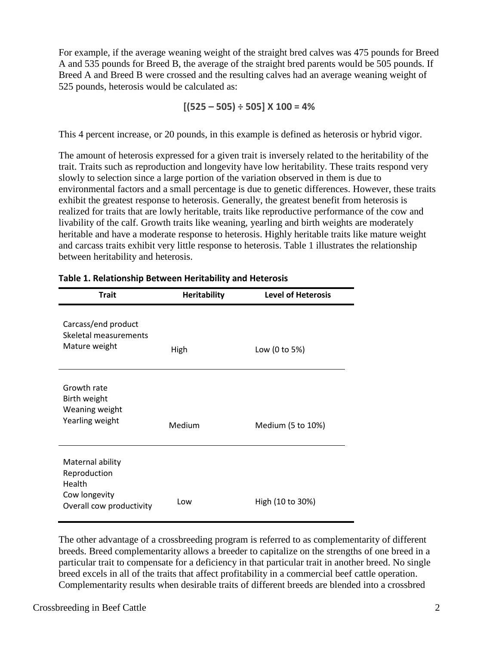For example, if the average weaning weight of the straight bred calves was 475 pounds for Breed A and 535 pounds for Breed B, the average of the straight bred parents would be 505 pounds. If Breed A and Breed B were crossed and the resulting calves had an average weaning weight of 525 pounds, heterosis would be calculated as:

**[(525 – 505) ÷ 505] X 100 = 4%**

This 4 percent increase, or 20 pounds, in this example is defined as heterosis or hybrid vigor.

The amount of heterosis expressed for a given trait is inversely related to the heritability of the trait. Traits such as reproduction and longevity have low heritability. These traits respond very slowly to selection since a large portion of the variation observed in them is due to environmental factors and a small percentage is due to genetic differences. However, these traits exhibit the greatest response to heterosis. Generally, the greatest benefit from heterosis is realized for traits that are lowly heritable, traits like reproductive performance of the cow and livability of the calf. Growth traits like weaning, yearling and birth weights are moderately heritable and have a moderate response to heterosis. Highly heritable traits like mature weight and carcass traits exhibit very little response to heterosis. Table 1 illustrates the relationship between heritability and heterosis.

| <b>Trait</b>                                                                            | <b>Heritability</b> | <b>Level of Heterosis</b> |
|-----------------------------------------------------------------------------------------|---------------------|---------------------------|
| Carcass/end product<br>Skeletal measurements<br>Mature weight                           | High                | Low (0 to 5%)             |
| Growth rate<br>Birth weight<br>Weaning weight<br>Yearling weight                        | Medium              | Medium (5 to 10%)         |
| Maternal ability<br>Reproduction<br>Health<br>Cow longevity<br>Overall cow productivity | Low                 | High (10 to 30%)          |

#### **Table 1. Relationship Between Heritability and Heterosis**

The other advantage of a crossbreeding program is referred to as complementarity of different breeds. Breed complementarity allows a breeder to capitalize on the strengths of one breed in a particular trait to compensate for a deficiency in that particular trait in another breed. No single breed excels in all of the traits that affect profitability in a commercial beef cattle operation. Complementarity results when desirable traits of different breeds are blended into a crossbred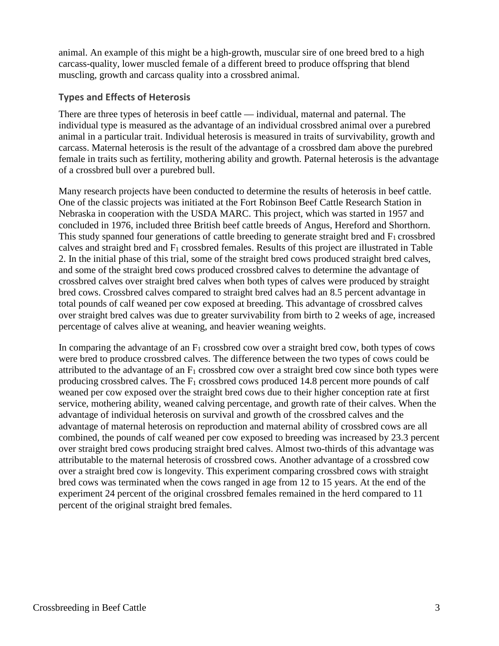animal. An example of this might be a high-growth, muscular sire of one breed bred to a high carcass-quality, lower muscled female of a different breed to produce offspring that blend muscling, growth and carcass quality into a crossbred animal.

## **Types and Effects of Heterosis**

There are three types of heterosis in beef cattle — individual, maternal and paternal. The individual type is measured as the advantage of an individual crossbred animal over a purebred animal in a particular trait. Individual heterosis is measured in traits of survivability, growth and carcass. Maternal heterosis is the result of the advantage of a crossbred dam above the purebred female in traits such as fertility, mothering ability and growth. Paternal heterosis is the advantage of a crossbred bull over a purebred bull.

Many research projects have been conducted to determine the results of heterosis in beef cattle. One of the classic projects was initiated at the Fort Robinson Beef Cattle Research Station in Nebraska in cooperation with the USDA MARC. This project, which was started in 1957 and concluded in 1976, included three British beef cattle breeds of Angus, Hereford and Shorthorn. This study spanned four generations of cattle breeding to generate straight bred and  $F_1$  crossbred calves and straight bred and  $F_1$  crossbred females. Results of this project are illustrated in Table 2. In the initial phase of this trial, some of the straight bred cows produced straight bred calves, and some of the straight bred cows produced crossbred calves to determine the advantage of crossbred calves over straight bred calves when both types of calves were produced by straight bred cows. Crossbred calves compared to straight bred calves had an 8.5 percent advantage in total pounds of calf weaned per cow exposed at breeding. This advantage of crossbred calves over straight bred calves was due to greater survivability from birth to 2 weeks of age, increased percentage of calves alive at weaning, and heavier weaning weights.

In comparing the advantage of an  $F_1$  crossbred cow over a straight bred cow, both types of cows were bred to produce crossbred calves. The difference between the two types of cows could be attributed to the advantage of an  $F_1$  crossbred cow over a straight bred cow since both types were producing crossbred calves. The  $F_1$  crossbred cows produced 14.8 percent more pounds of calf weaned per cow exposed over the straight bred cows due to their higher conception rate at first service, mothering ability, weaned calving percentage, and growth rate of their calves. When the advantage of individual heterosis on survival and growth of the crossbred calves and the advantage of maternal heterosis on reproduction and maternal ability of crossbred cows are all combined, the pounds of calf weaned per cow exposed to breeding was increased by 23.3 percent over straight bred cows producing straight bred calves. Almost two-thirds of this advantage was attributable to the maternal heterosis of crossbred cows. Another advantage of a crossbred cow over a straight bred cow is longevity. This experiment comparing crossbred cows with straight bred cows was terminated when the cows ranged in age from 12 to 15 years. At the end of the experiment 24 percent of the original crossbred females remained in the herd compared to 11 percent of the original straight bred females.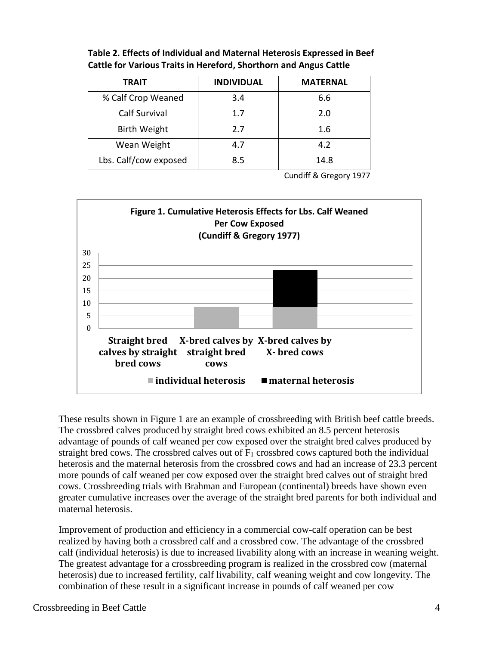| <b>TRAIT</b>          | <b>INDIVIDUAL</b> | <b>MATERNAL</b> |
|-----------------------|-------------------|-----------------|
| % Calf Crop Weaned    | 3.4               | 6.6             |
| <b>Calf Survival</b>  | 1.7               | 2.0             |
| <b>Birth Weight</b>   | 2.7               | 1.6             |
| Wean Weight           | 4.7               | 4.2             |
| Lbs. Calf/cow exposed | 8.5               | 14.8            |

**Table 2. Effects of Individual and Maternal Heterosis Expressed in Beef Cattle for Various Traits in Hereford, Shorthorn and Angus Cattle**

Cundiff & Gregory 1977



These results shown in Figure 1 are an example of crossbreeding with British beef cattle breeds. The crossbred calves produced by straight bred cows exhibited an 8.5 percent heterosis advantage of pounds of calf weaned per cow exposed over the straight bred calves produced by straight bred cows. The crossbred calves out of  $F_1$  crossbred cows captured both the individual heterosis and the maternal heterosis from the crossbred cows and had an increase of 23.3 percent more pounds of calf weaned per cow exposed over the straight bred calves out of straight bred cows. Crossbreeding trials with Brahman and European (continental) breeds have shown even greater cumulative increases over the average of the straight bred parents for both individual and maternal heterosis.

Improvement of production and efficiency in a commercial cow-calf operation can be best realized by having both a crossbred calf and a crossbred cow. The advantage of the crossbred calf (individual heterosis) is due to increased livability along with an increase in weaning weight. The greatest advantage for a crossbreeding program is realized in the crossbred cow (maternal heterosis) due to increased fertility, calf livability, calf weaning weight and cow longevity. The combination of these result in a significant increase in pounds of calf weaned per cow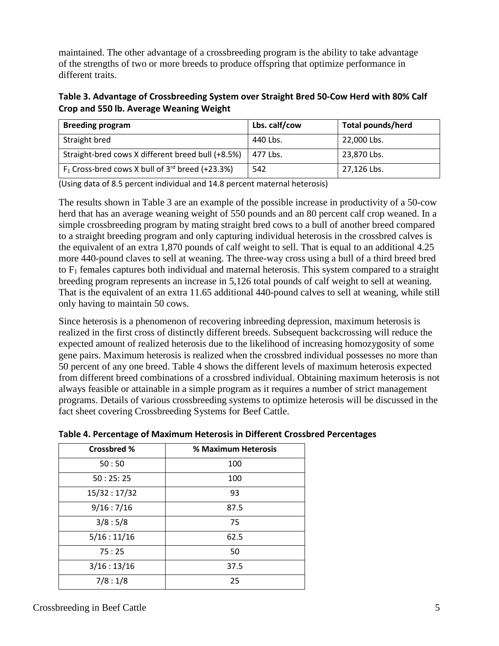maintained. The other advantage of a crossbreeding program is the ability to take advantage of the strengths of two or more breeds to produce offspring that optimize performance in different traits.

**Table 3. Advantage of Crossbreeding System over Straight Bred 50-Cow Herd with 80% Calf Crop and 550 lb. Average Weaning Weight**

| <b>Breeding program</b>                                        | Lbs. calf/cow | <b>Total pounds/herd</b> |
|----------------------------------------------------------------|---------------|--------------------------|
| Straight bred                                                  | 440 Lbs.      | 22,000 Lbs.              |
| Straight-bred cows X different breed bull (+8.5%)              | 477 Lbs.      | 23,870 Lbs.              |
| $F_1$ Cross-bred cows X bull of 3 <sup>rd</sup> breed (+23.3%) | 542           | 27,126 Lbs.              |

(Using data of 8.5 percent individual and 14.8 percent maternal heterosis)

The results shown in Table 3 are an example of the possible increase in productivity of a 50-cow herd that has an average weaning weight of 550 pounds and an 80 percent calf crop weaned. In a simple crossbreeding program by mating straight bred cows to a bull of another breed compared to a straight breeding program and only capturing individual heterosis in the crossbred calves is the equivalent of an extra 1,870 pounds of calf weight to sell. That is equal to an additional 4.25 more 440-pound claves to sell at weaning. The three-way cross using a bull of a third breed bred to  $F_1$  females captures both individual and maternal heterosis. This system compared to a straight breeding program represents an increase in 5,126 total pounds of calf weight to sell at weaning. That is the equivalent of an extra 11.65 additional 440-pound calves to sell at weaning, while still only having to maintain 50 cows.

Since heterosis is a phenomenon of recovering inbreeding depression, maximum heterosis is realized in the first cross of distinctly different breeds. Subsequent backcrossing will reduce the expected amount of realized heterosis due to the likelihood of increasing homozygosity of some gene pairs. Maximum heterosis is realized when the crossbred individual possesses no more than 50 percent of any one breed. Table 4 shows the different levels of maximum heterosis expected from different breed combinations of a crossbred individual. Obtaining maximum heterosis is not always feasible or attainable in a simple program as it requires a number of strict management programs. Details of various crossbreeding systems to optimize heterosis will be discussed in the fact sheet covering Crossbreeding Systems for Beef Cattle.

| <b>Crossbred %</b> | % Maximum Heterosis |
|--------------------|---------------------|
| 50:50              | 100                 |
| 50:25:25           | 100                 |
| 15/32:17/32        | 93                  |
| 9/16:7/16          | 87.5                |
| 3/8:5/8            | 75                  |
| 5/16:11/16         | 62.5                |
| 75:25              | 50                  |
| 3/16:13/16         | 37.5                |
| 7/8:1/8            | 25                  |

**Table 4. Percentage of Maximum Heterosis in Different Crossbred Percentages**